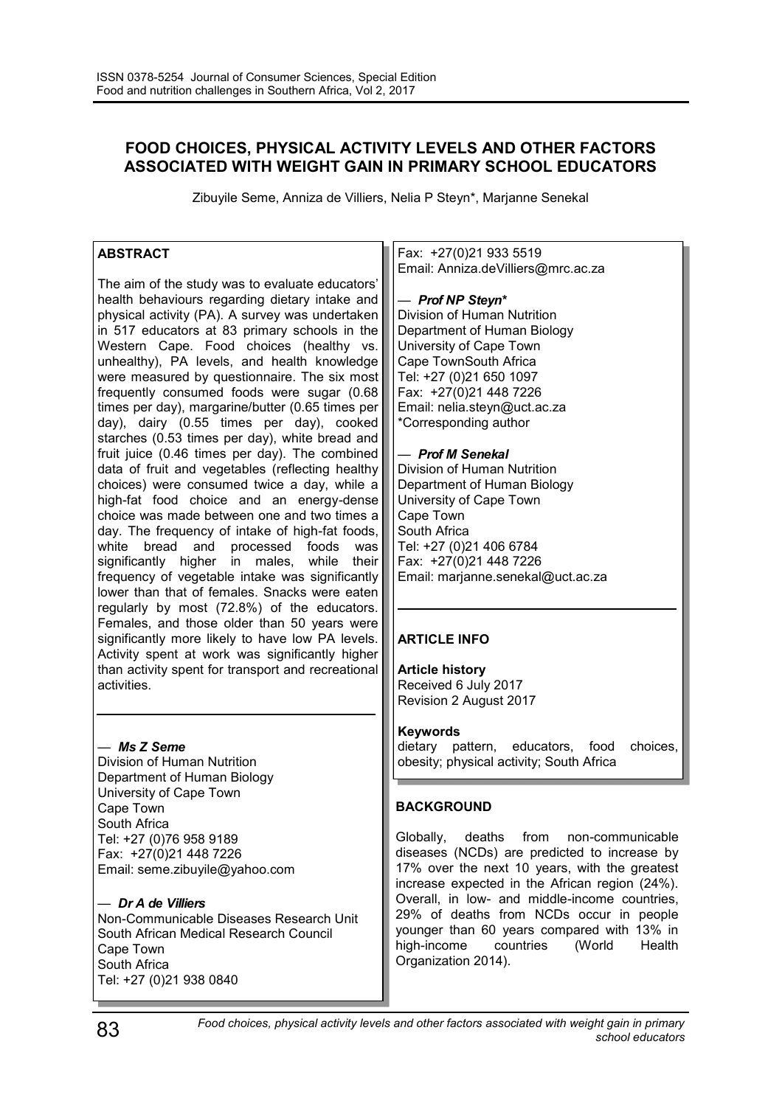# **FOOD CHOICES, PHYSICAL ACTIVITY LEVELS AND OTHER FACTORS ASSOCIATED WITH WEIGHT GAIN IN PRIMARY SCHOOL EDUCATORS**

Zibuyile Seme, Anniza de Villiers, Nelia P Steyn\*, Marjanne Senekal

# **ABSTRACT**

The aim of the study was to evaluate educators' health behaviours regarding dietary intake and physical activity (PA). A survey was undertaken in 517 educators at 83 primary schools in the Western Cape. Food choices (healthy vs. unhealthy), PA levels, and health knowledge were measured by questionnaire. The six most frequently consumed foods were sugar (0.68 times per day), margarine/butter (0.65 times per day), dairy (0.55 times per day), cooked starches (0.53 times per day), white bread and fruit juice (0.46 times per day). The combined data of fruit and vegetables (reflecting healthy choices) were consumed twice a day, while a high-fat food choice and an energy-dense choice was made between one and two times a day. The frequency of intake of high-fat foods, white bread and processed foods was significantly higher in males, while their frequency of vegetable intake was significantly lower than that of females. Snacks were eaten regularly by most (72.8%) of the educators. Females, and those older than 50 years were significantly more likely to have low PA levels. Activity spent at work was significantly higher than activity spent for transport and recreational activities.

# *— Ms Z Seme*

Division of Human Nutrition Department of Human Biology University of Cape Town Cape Town South Africa Tel: +27 (0)76 958 9189 Fax: +27(0)21 448 7226 Email: seme.zibuyile@yahoo.com

# *— Dr A de Villiers*

Non-Communicable Diseases Research Unit South African Medical Research Council Cape Town South Africa Tel: +27 (0)21 938 0840

Fax: +27(0)21 933 5519 Email: Anniza.deVilliers@mrc.ac.za

#### *— Prof NP Steyn\**

Division of Human Nutrition Department of Human Biology University of Cape Town Cape TownSouth Africa Tel: +27 (0)21 650 1097 Fax: +27(0)21 448 7226 Email: nelia.steyn@uct.ac.za \*Corresponding author

### *— Prof M Senekal*

Division of Human Nutrition Department of Human Biology University of Cape Town Cape Town South Africa Tel: +27 (0)21 406 6784 Fax: +27(0)21 448 7226 Email: marjanne.senekal@uct.ac.za

# **ARTICLE INFO**

**Article history** Received 6 July 2017 Revision 2 August 2017

#### **Keywords**

dietary pattern, educators, food choices, obesity; physical activity; South Africa

# **BACKGROUND**

Globally, deaths from non-communicable diseases (NCDs) are predicted to increase by 17% over the next 10 years, with the greatest increase expected in the African region (24%). Overall, in low- and middle-income countries, 29% of deaths from NCDs occur in people younger than 60 years compared with 13% in high-income countries (World Health Organization 2014).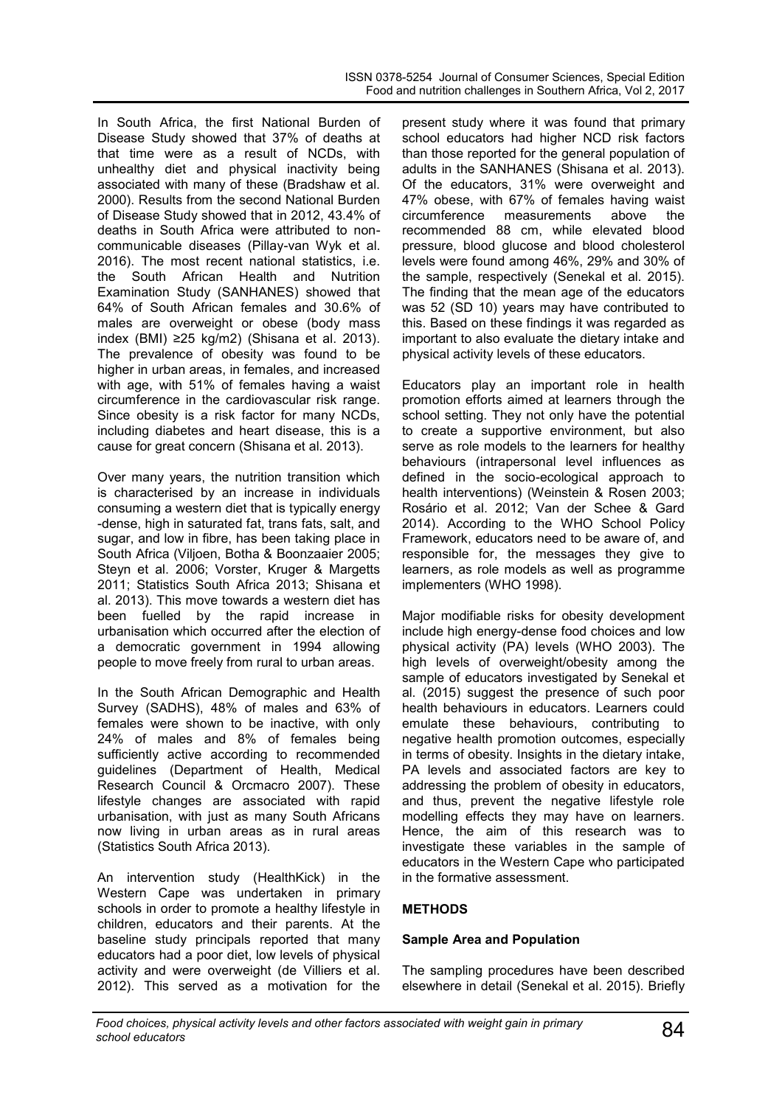In South Africa, the first National Burden of Disease Study showed that 37% of deaths at that time were as a result of NCDs, with unhealthy diet and physical inactivity being associated with many of these (Bradshaw et al. 2000). Results from the second National Burden of Disease Study showed that in 2012, 43.4% of deaths in South Africa were attributed to noncommunicable diseases (Pillay-van Wyk et al. 2016). The most recent national statistics, i.e. the South African Health and Nutrition Examination Study (SANHANES) showed that 64% of South African females and 30.6% of males are overweight or obese (body mass index (BMI) ≥25 kg/m2) (Shisana et al. 2013). The prevalence of obesity was found to be higher in urban areas, in females, and increased with age, with 51% of females having a waist circumference in the cardiovascular risk range. Since obesity is a risk factor for many NCDs, including diabetes and heart disease, this is a cause for great concern (Shisana et al. 2013).

Over many years, the nutrition transition which is characterised by an increase in individuals consuming a western diet that is typically energy -dense, high in saturated fat, trans fats, salt, and sugar, and low in fibre, has been taking place in South Africa (Viljoen, Botha & Boonzaaier 2005; Steyn et al. 2006; Vorster, Kruger & Margetts 2011; Statistics South Africa 2013; Shisana et al. 2013). This move towards a western diet has been fuelled by the rapid increase in urbanisation which occurred after the election of a democratic government in 1994 allowing people to move freely from rural to urban areas.

In the South African Demographic and Health Survey (SADHS), 48% of males and 63% of females were shown to be inactive, with only 24% of males and 8% of females being sufficiently active according to recommended guidelines (Department of Health, Medical Research Council & Orcmacro 2007). These lifestyle changes are associated with rapid urbanisation, with just as many South Africans now living in urban areas as in rural areas (Statistics South Africa 2013).

An intervention study (HealthKick) in the Western Cape was undertaken in primary schools in order to promote a healthy lifestyle in children, educators and their parents. At the baseline study principals reported that many educators had a poor diet, low levels of physical activity and were overweight (de Villiers et al. 2012). This served as a motivation for the

present study where it was found that primary school educators had higher NCD risk factors than those reported for the general population of adults in the SANHANES (Shisana et al. 2013). Of the educators, 31% were overweight and 47% obese, with 67% of females having waist<br>circumference measurements above the measurements above the recommended 88 cm, while elevated blood pressure, blood glucose and blood cholesterol levels were found among 46%, 29% and 30% of the sample, respectively (Senekal et al. 2015). The finding that the mean age of the educators was 52 (SD 10) years may have contributed to this. Based on these findings it was regarded as important to also evaluate the dietary intake and physical activity levels of these educators.

Educators play an important role in health promotion efforts aimed at learners through the school setting. They not only have the potential to create a supportive environment, but also serve as role models to the learners for healthy behaviours (intrapersonal level influences as defined in the socio-ecological approach to health interventions) (Weinstein & Rosen 2003; Rosário et al. 2012; Van der Schee & Gard 2014). According to the WHO School Policy Framework, educators need to be aware of, and responsible for, the messages they give to learners, as role models as well as programme implementers (WHO 1998).

Major modifiable risks for obesity development include high energy-dense food choices and low physical activity (PA) levels (WHO 2003). The high levels of overweight/obesity among the sample of educators investigated by Senekal et al. (2015) suggest the presence of such poor health behaviours in educators. Learners could emulate these behaviours, contributing to negative health promotion outcomes, especially in terms of obesity. Insights in the dietary intake, PA levels and associated factors are key to addressing the problem of obesity in educators, and thus, prevent the negative lifestyle role modelling effects they may have on learners. Hence, the aim of this research was to investigate these variables in the sample of educators in the Western Cape who participated in the formative assessment.

# **METHODS**

### **Sample Area and Population**

The sampling procedures have been described elsewhere in detail (Senekal et al. 2015). Briefly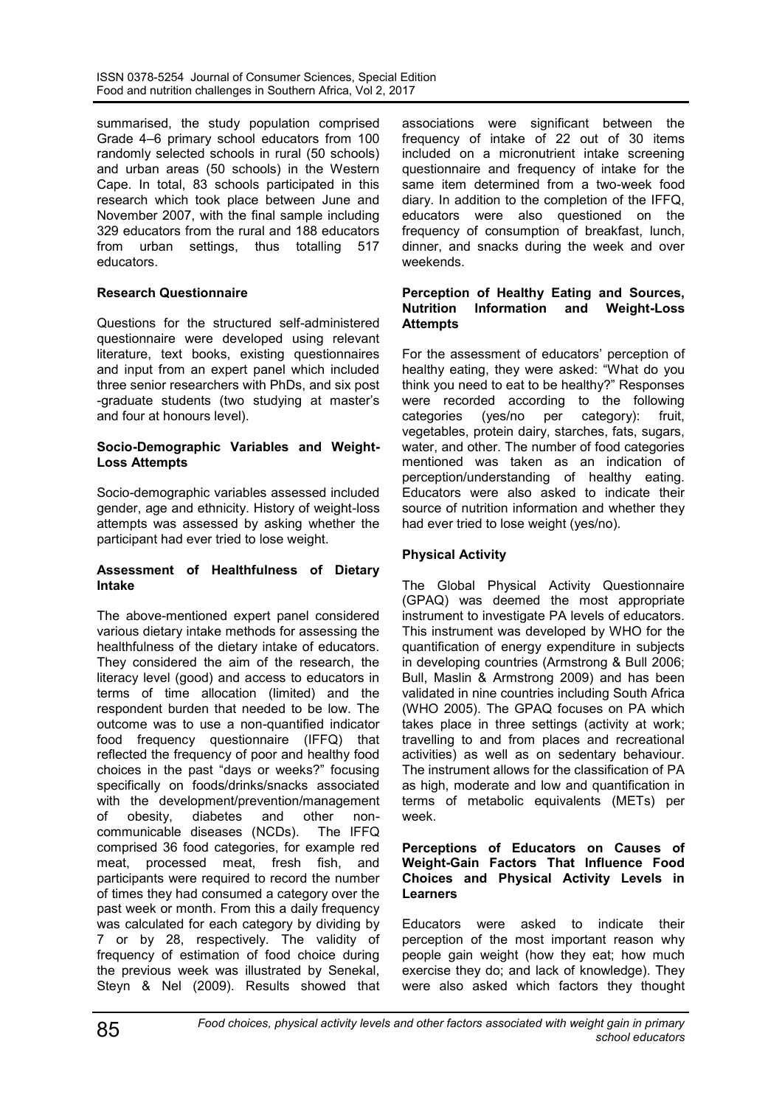summarised, the study population comprised Grade 4–6 primary school educators from 100 randomly selected schools in rural (50 schools) and urban areas (50 schools) in the Western Cape. In total, 83 schools participated in this research which took place between June and November 2007, with the final sample including 329 educators from the rural and 188 educators from urban settings, thus totalling 517 educators.

# **Research Questionnaire**

Questions for the structured self-administered questionnaire were developed using relevant literature, text books, existing questionnaires and input from an expert panel which included three senior researchers with PhDs, and six post -graduate students (two studying at master's and four at honours level).

#### **Socio-Demographic Variables and Weight-Loss Attempts**

Socio-demographic variables assessed included gender, age and ethnicity. History of weight-loss attempts was assessed by asking whether the participant had ever tried to lose weight.

#### **Assessment of Healthfulness of Dietary Intake**

The above-mentioned expert panel considered various dietary intake methods for assessing the healthfulness of the dietary intake of educators. They considered the aim of the research, the literacy level (good) and access to educators in terms of time allocation (limited) and the respondent burden that needed to be low. The outcome was to use a non-quantified indicator food frequency questionnaire (IFFQ) that reflected the frequency of poor and healthy food choices in the past "days or weeks?" focusing specifically on foods/drinks/snacks associated with the development/prevention/management of obesity, diabetes and other non-<br>communicable diseases(NCDs). The IFFQ communicable diseases (NCDs). comprised 36 food categories, for example red meat, processed meat, fresh fish, and participants were required to record the number of times they had consumed a category over the past week or month. From this a daily frequency was calculated for each category by dividing by 7 or by 28, respectively. The validity of frequency of estimation of food choice during the previous week was illustrated by Senekal, Steyn & Nel (2009). Results showed that associations were significant between the frequency of intake of 22 out of 30 items included on a micronutrient intake screening questionnaire and frequency of intake for the same item determined from a two-week food diary. In addition to the completion of the IFFQ, educators were also questioned on the frequency of consumption of breakfast, lunch, dinner, and snacks during the week and over weekends.

#### **Perception of Healthy Eating and Sources, Nutrition Information and Weight-Loss Attempts**

For the assessment of educators' perception of healthy eating, they were asked: "What do you think you need to eat to be healthy?" Responses were recorded according to the following categories (yes/no per category): fruit, vegetables, protein dairy, starches, fats, sugars, water, and other. The number of food categories mentioned was taken as an indication of perception/understanding of healthy eating. Educators were also asked to indicate their source of nutrition information and whether they had ever tried to lose weight (yes/no).

# **Physical Activity**

The Global Physical Activity Questionnaire (GPAQ) was deemed the most appropriate instrument to investigate PA levels of educators. This instrument was developed by WHO for the quantification of energy expenditure in subjects in developing countries (Armstrong & Bull 2006; Bull, Maslin & Armstrong 2009) and has been validated in nine countries including South Africa (WHO 2005). The GPAQ focuses on PA which takes place in three settings (activity at work; travelling to and from places and recreational activities) as well as on sedentary behaviour. The instrument allows for the classification of PA as high, moderate and low and quantification in terms of metabolic equivalents (METs) per week.

#### **Perceptions of Educators on Causes of Weight-Gain Factors That Influence Food Choices and Physical Activity Levels in Learners**

Educators were asked to indicate their perception of the most important reason why people gain weight (how they eat; how much exercise they do; and lack of knowledge). They were also asked which factors they thought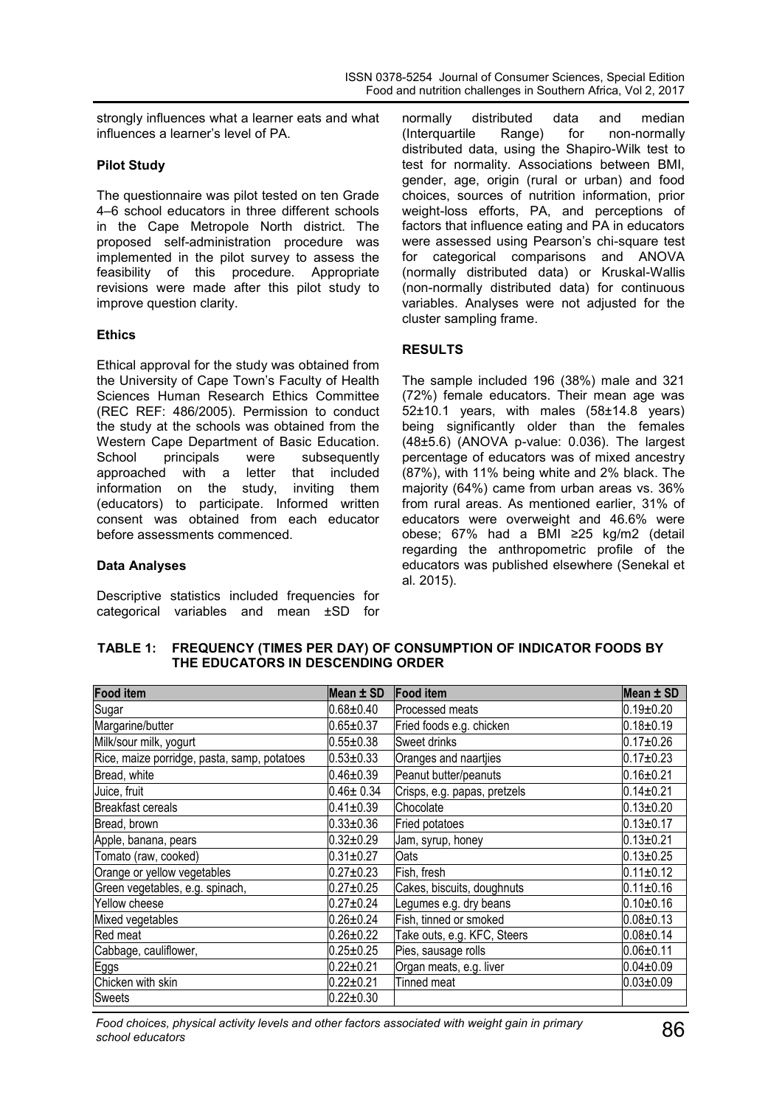strongly influences what a learner eats and what influences a learner's level of PA.

### **Pilot Study**

The questionnaire was pilot tested on ten Grade 4–6 school educators in three different schools in the Cape Metropole North district. The proposed self-administration procedure was implemented in the pilot survey to assess the feasibility of this procedure. Appropriate revisions were made after this pilot study to improve question clarity.

### **Ethics**

Ethical approval for the study was obtained from the University of Cape Town's Faculty of Health Sciences Human Research Ethics Committee (REC REF: 486/2005). Permission to conduct the study at the schools was obtained from the Western Cape Department of Basic Education. School principals were subsequently approached with a letter that included information on the study, inviting them (educators) to participate. Informed written consent was obtained from each educator before assessments commenced.

### **Data Analyses**

Descriptive statistics included frequencies for categorical variables and mean ±SD for normally distributed data and median (Interquartile Range) for non-normally distributed data, using the Shapiro-Wilk test to test for normality. Associations between BMI, gender, age, origin (rural or urban) and food choices, sources of nutrition information, prior weight-loss efforts, PA, and perceptions of factors that influence eating and PA in educators were assessed using Pearson's chi-square test for categorical comparisons and ANOVA (normally distributed data) or Kruskal-Wallis (non-normally distributed data) for continuous variables. Analyses were not adjusted for the cluster sampling frame.

# **RESULTS**

The sample included 196 (38%) male and 321 (72%) female educators. Their mean age was 52±10.1 years, with males (58±14.8 years) being significantly older than the females (48±5.6) (ANOVA p-value: 0.036). The largest percentage of educators was of mixed ancestry (87%), with 11% being white and 2% black. The majority (64%) came from urban areas vs. 36% from rural areas. As mentioned earlier, 31% of educators were overweight and 46.6% were obese; 67% had a BMI ≥25 kg/m2 (detail regarding the anthropometric profile of the educators was published elsewhere (Senekal et al. 2015).

#### **TABLE 1: FREQUENCY (TIMES PER DAY) OF CONSUMPTION OF INDICATOR FOODS BY THE EDUCATORS IN DESCENDING ORDER**

| <b>Food item</b>                            | Mean ± SD       | <b>Food item</b>             | Mean $\pm$ SD   |
|---------------------------------------------|-----------------|------------------------------|-----------------|
| Sugar                                       | $0.68 \pm 0.40$ | Processed meats              | $0.19 + 0.20$   |
| Margarine/butter                            | $0.65 \pm 0.37$ | Fried foods e.g. chicken     | $0.18 + 0.19$   |
| Milk/sour milk, yogurt                      | $0.55 \pm 0.38$ | Sweet drinks                 | $0.17 \pm 0.26$ |
| Rice, maize porridge, pasta, samp, potatoes | $0.53 \pm 0.33$ | Oranges and naartijes        | $0.17 + 0.23$   |
| Bread, white                                | $0.46 \pm 0.39$ | Peanut butter/peanuts        | $0.16 + 0.21$   |
| Juice, fruit                                | $0.46 \pm 0.34$ | Crisps, e.g. papas, pretzels | $0.14 \pm 0.21$ |
| <b>Breakfast cereals</b>                    | $0.41 \pm 0.39$ | Chocolate                    | $0.13 \pm 0.20$ |
| Bread, brown                                | $0.33 + 0.36$   | Fried potatoes               | $0.13 \pm 0.17$ |
| Apple, banana, pears                        | $0.32 + 0.29$   | Jam, syrup, honey            | $0.13 + 0.21$   |
| Tomato (raw, cooked)                        | $0.31 \pm 0.27$ | Oats                         | $0.13 + 0.25$   |
| Orange or yellow vegetables                 | $0.27 \pm 0.23$ | Fish, fresh                  | $0.11 \pm 0.12$ |
| Green vegetables, e.g. spinach,             | $0.27 + 0.25$   | Cakes, biscuits, doughnuts   | $0.11 \pm 0.16$ |
| Yellow cheese                               | $0.27 + 0.24$   | Legumes e.g. dry beans       | $0.10 + 0.16$   |
| Mixed vegetables                            | $0.26 \pm 0.24$ | Fish, tinned or smoked       | $0.08 \pm 0.13$ |
| Red meat                                    | $0.26 \pm 0.22$ | Take outs, e.g. KFC, Steers  | $0.08 + 0.14$   |
| Cabbage, cauliflower,                       | $0.25 \pm 0.25$ | Pies, sausage rolls          | $0.06 \pm 0.11$ |
| Eggs                                        | $0.22 \pm 0.21$ | Organ meats, e.g. liver      | $0.04 \pm 0.09$ |
| Chicken with skin                           | $0.22 + 0.21$   | Tinned meat                  | $0.03 + 0.09$   |
| Sweets                                      | $0.22 \pm 0.30$ |                              |                 |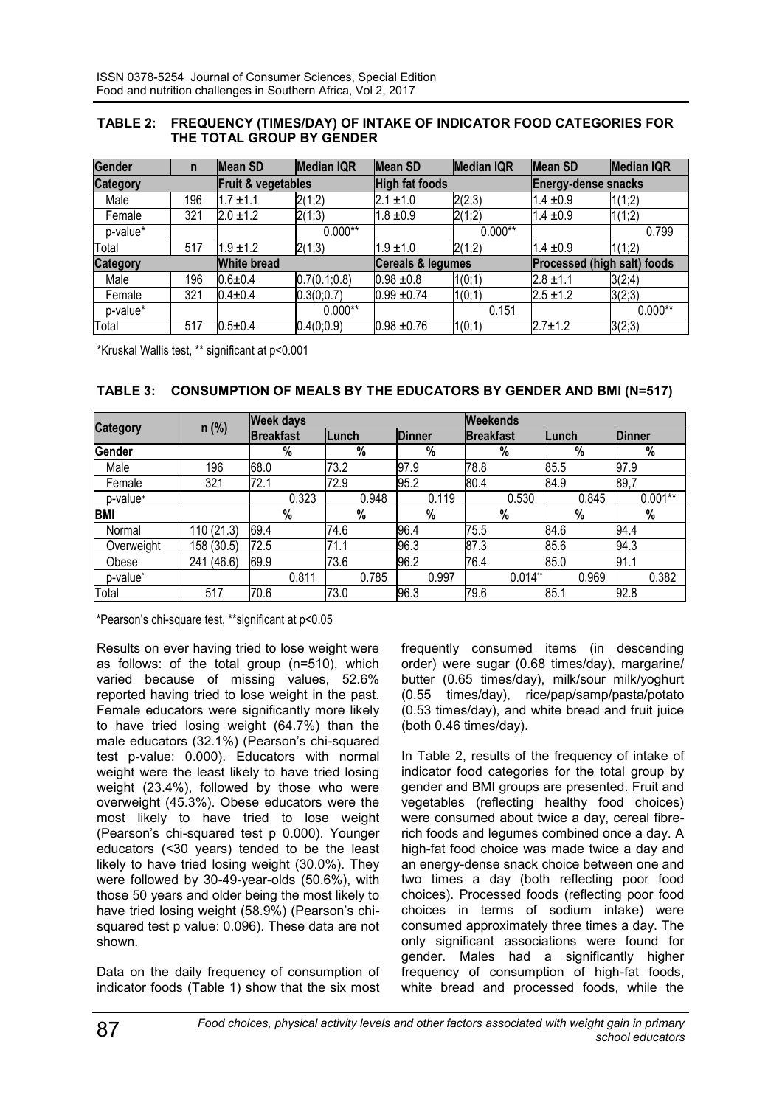### **TABLE 2: FREQUENCY (TIMES/DAY) OF INTAKE OF INDICATOR FOOD CATEGORIES FOR THE TOTAL GROUP BY GENDER**

| <b>Gender</b>                         | $\mathsf{n}$ | Mean SD            | <b>Median IQR</b>     | <b>Mean SD</b>    | <b>Median IQR</b>          | Mean SD                            | <b>Median IQR</b> |
|---------------------------------------|--------------|--------------------|-----------------------|-------------------|----------------------------|------------------------------------|-------------------|
| <b>Category</b><br>Fruit & vegetables |              |                    | <b>High fat foods</b> |                   | <b>Energy-dense snacks</b> |                                    |                   |
| Male                                  | 196          | $1.7 \pm 1.1$      | 2(1;2)                | $2.1 \pm 1.0$     | 2(2;3)                     | $1.4 \pm 0.9$                      | 1(1;2)            |
| Female                                | 321          | $2.0 \pm 1.2$      | 2(1;3)                | $1.8 \pm 0.9$     | 2(1;2)                     | $1.4 \pm 0.9$                      | 1(1;2)            |
| p-value*                              |              |                    | $0.000**$             |                   | $0.000**$                  |                                    | 0.799             |
| Total                                 | 517          | $1.9 \pm 1.2$      | 2(1;3)                | $1.9 \pm 1.0$     | 2(1;2)                     | $1.4 \pm 0.9$                      | 1(1;2)            |
| <b>Category</b>                       |              | <b>White bread</b> |                       | Cereals & legumes |                            | <b>Processed (high salt) foods</b> |                   |
| Male                                  | 196          | $0.6 \pm 0.4$      | 0.7(0.1;0.8)          | $0.98 \pm 0.8$    | 1(0;1)                     | $2.8 \pm 1.1$                      | 3(2;4)            |
| Female                                | 321          | $0.4 \pm 0.4$      | 0.3(0;0.7)            | $0.99 \pm 0.74$   | 1(0;1)                     | $2.5 \pm 1.2$                      | 3(2;3)            |
| p-value*                              |              |                    | $0.000**$             |                   | 0.151                      |                                    | $0.000**$         |
| Total                                 | 517          | $0.5 + 0.4$        | 0.4(0;0.9)            | $0.98 + 0.76$     | 1(0;1)                     | $2.7 \pm 1.2$                      | 3(2;3)            |

\*Kruskal Wallis test, \*\* significant at p<0.001

|  | TABLE 3: CONSUMPTION OF MEALS BY THE EDUCATORS BY GENDER AND BMI (N=517) |
|--|--------------------------------------------------------------------------|
|--|--------------------------------------------------------------------------|

|                      |            | <b>Week days</b> |       |               | <b>Weekends</b>  |       |               |  |  |
|----------------------|------------|------------------|-------|---------------|------------------|-------|---------------|--|--|
| <b>Category</b>      | $n$ (%)    | <b>Breakfast</b> | Lunch | <b>Dinner</b> | <b>Breakfast</b> | Lunch | <b>Dinner</b> |  |  |
| Gender               |            | $\%$             | %     | %             | %                | %     | %             |  |  |
| Male                 | 196        | 68.0             | 73.2  | 97.9          | 78.8             | 85.5  | 97.9          |  |  |
| Female               | 321        | 72.1             | 72.9  | 95.2          | 80.4             | 84.9  | 89,7          |  |  |
| p-value+             |            | 0.323            | 0.948 | 0.119         | 0.530            | 0.845 | $0.001**$     |  |  |
| <b>BMI</b>           |            | $\%$             | $\%$  | %             | $\%$             | %     | $\%$          |  |  |
| Normal               | 110 (21.3) | 69.4             | 74.6  | 96.4          | 75.5             | 84.6  | 94.4          |  |  |
| Overweight           | 158 (30.5) | 72.5             | 71.1  | 96.3          | 87.3             | 85.6  | 94.3          |  |  |
| Obese                | 241 (46.6) | 69.9             | 73.6  | 96.2          | 76.4             | 85.0  | 91.1          |  |  |
| p-value <sup>*</sup> |            | 0.811            | 0.785 | 0.997         | 0.014"           | 0.969 | 0.382         |  |  |
| Total                | 517        | 70.6             | 73.0  | 96.3          | 79.6             | 85.1  | 92.8          |  |  |

\*Pearson's chi-square test, \*\*significant at p<0.05

Results on ever having tried to lose weight were as follows: of the total group (n=510), which varied because of missing values, 52.6% reported having tried to lose weight in the past. Female educators were significantly more likely to have tried losing weight (64.7%) than the male educators (32.1%) (Pearson's chi-squared test p-value: 0.000). Educators with normal weight were the least likely to have tried losing weight (23.4%), followed by those who were overweight (45.3%). Obese educators were the most likely to have tried to lose weight (Pearson's chi-squared test p 0.000). Younger educators (<30 years) tended to be the least likely to have tried losing weight (30.0%). They were followed by 30-49-year-olds (50.6%), with those 50 years and older being the most likely to have tried losing weight (58.9%) (Pearson's chisquared test p value: 0.096). These data are not shown.

Data on the daily frequency of consumption of indicator foods (Table 1) show that the six most frequently consumed items (in descending order) were sugar (0.68 times/day), margarine/ butter (0.65 times/day), milk/sour milk/yoghurt (0.55 times/day), rice/pap/samp/pasta/potato (0.53 times/day), and white bread and fruit juice (both 0.46 times/day).

In Table 2, results of the frequency of intake of indicator food categories for the total group by gender and BMI groups are presented. Fruit and vegetables (reflecting healthy food choices) were consumed about twice a day, cereal fibrerich foods and legumes combined once a day. A high-fat food choice was made twice a day and an energy-dense snack choice between one and two times a day (both reflecting poor food choices). Processed foods (reflecting poor food choices in terms of sodium intake) were consumed approximately three times a day. The only significant associations were found for gender. Males had a significantly higher frequency of consumption of high-fat foods, white bread and processed foods, while the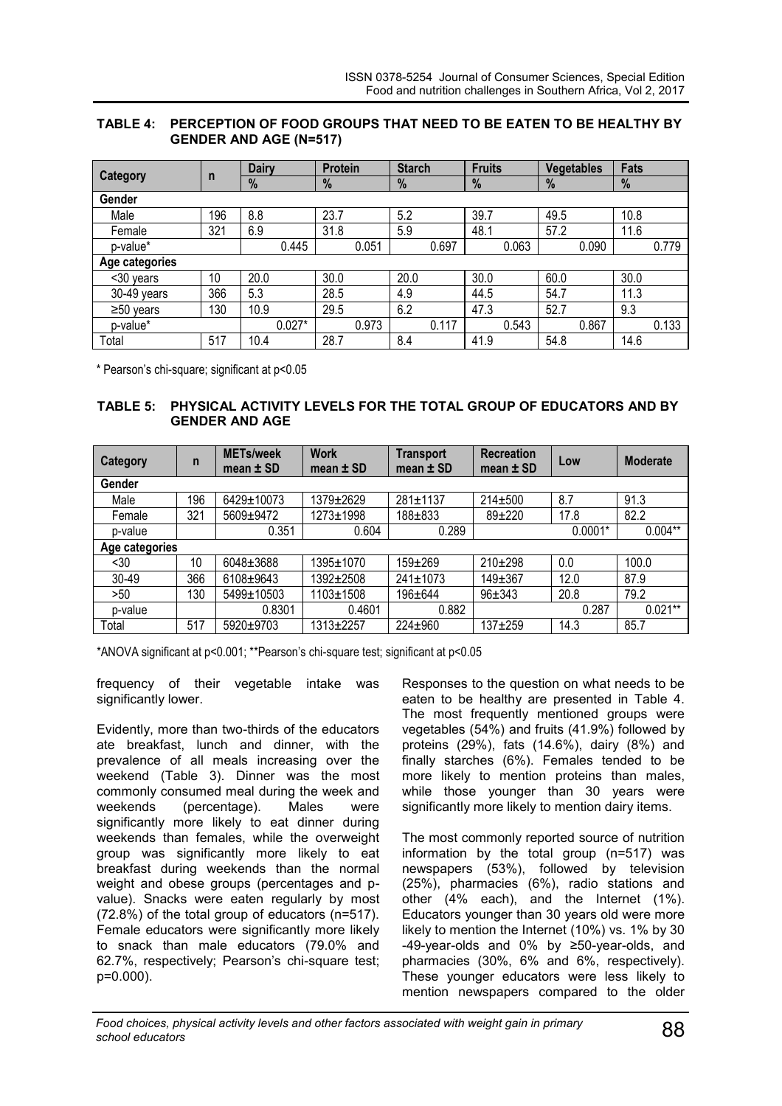#### **TABLE 4: PERCEPTION OF FOOD GROUPS THAT NEED TO BE EATEN TO BE HEALTHY BY GENDER AND AGE (N=517)**

|                 |              | <b>Dairy</b> | <b>Protein</b> | <b>Starch</b> | <b>Fruits</b> | <b>Vegetables</b> | <b>Fats</b> |
|-----------------|--------------|--------------|----------------|---------------|---------------|-------------------|-------------|
| <b>Category</b> | $\mathsf{n}$ | %            | %              | %             | %             | %                 | %           |
| Gender          |              |              |                |               |               |                   |             |
| Male            | 196          | 8.8          | 23.7           | 5.2           | 39.7          | 49.5              | 10.8        |
| Female          | 321          | 6.9          | 31.8           | 5.9           | 48.1          | 57.2              | 11.6        |
| p-value*        |              | 0.445        | 0.051          | 0.697         | 0.063         | 0.090             | 0.779       |
| Age categories  |              |              |                |               |               |                   |             |
| <30 years       | 10           | 20.0         | 30.0           | 20.0          | 30.0          | 60.0              | 30.0        |
| 30-49 years     | 366          | 5.3          | 28.5           | 4.9           | 44.5          | 54.7              | 11.3        |
| $\geq 50$ years | 130          | 10.9         | 29.5           | 6.2           | 47.3          | 52.7              | 9.3         |
| p-value*        |              | $0.027*$     | 0.973          | 0.117         | 0.543         | 0.867             | 0.133       |
| Total           | 517          | 10.4         | 28.7           | 8.4           | 41.9          | 54.8              | 14.6        |

\* Pearson's chi-square; significant at p<0.05

### **TABLE 5: PHYSICAL ACTIVITY LEVELS FOR THE TOTAL GROUP OF EDUCATORS AND BY GENDER AND AGE**

| <b>Category</b> | n   | <b>METs/week</b><br>mean $\pm$ SD | <b>Work</b><br>mean $\pm$ SD | <b>Transport</b><br>mean $\pm$ SD | <b>Recreation</b><br>mean $\pm$ SD | Low       | <b>Moderate</b> |
|-----------------|-----|-----------------------------------|------------------------------|-----------------------------------|------------------------------------|-----------|-----------------|
| <b>Gender</b>   |     |                                   |                              |                                   |                                    |           |                 |
| Male            | 196 | 6429±10073                        | 1379±2629                    | 281±1137                          | 214±500                            | 8.7       | 91.3            |
| Female          | 321 | 5609±9472                         | 1273±1998                    | 188±833                           | $89 + 220$                         | 17.8      | 82.2            |
| p-value         |     | 0.351                             | 0.604                        | 0.289                             |                                    | $0.0001*$ | $0.004**$       |
| Age categories  |     |                                   |                              |                                   |                                    |           |                 |
| $30$            | 10  | 6048±3688                         | 1395±1070                    | $159 + 269$                       | $210+298$                          | 0.0       | 100.0           |
| 30-49           | 366 | 6108±9643                         | 1392±2508                    | $241 \pm 1073$                    | 149±367                            | 12.0      | 87.9            |
| >50             | 130 | 5499±10503                        | 1103±1508                    | 196±644                           | $96 \pm 343$                       | 20.8      | 79.2            |
| p-value         |     | 0.8301                            | 0.4601                       | 0.882                             |                                    | 0.287     | $0.021**$       |
| Total           | 517 | 5920±9703                         | 1313±2257                    | $224 \pm 960$                     | $137 + 259$                        | 14.3      | 85.7            |

\*ANOVA significant at p<0.001; \*\*Pearson's chi-square test; significant at p<0.05

frequency of their vegetable intake was significantly lower.

Evidently, more than two-thirds of the educators ate breakfast, lunch and dinner, with the prevalence of all meals increasing over the weekend (Table 3). Dinner was the most commonly consumed meal during the week and weekends (percentage). Males were significantly more likely to eat dinner during weekends than females, while the overweight group was significantly more likely to eat breakfast during weekends than the normal weight and obese groups (percentages and pvalue). Snacks were eaten regularly by most (72.8%) of the total group of educators (n=517). Female educators were significantly more likely to snack than male educators (79.0% and 62.7%, respectively; Pearson's chi-square test; p=0.000).

Responses to the question on what needs to be eaten to be healthy are presented in Table 4. The most frequently mentioned groups were vegetables (54%) and fruits (41.9%) followed by proteins (29%), fats (14.6%), dairy (8%) and finally starches (6%). Females tended to be more likely to mention proteins than males, while those younger than 30 years were significantly more likely to mention dairy items.

The most commonly reported source of nutrition information by the total group (n=517) was newspapers (53%), followed by television (25%), pharmacies (6%), radio stations and other  $(4\%$  each), and the Internet  $(1\%)$ . Educators younger than 30 years old were more likely to mention the Internet (10%) vs. 1% by 30 -49-year-olds and 0% by ≥50-year-olds, and pharmacies (30%, 6% and 6%, respectively). These younger educators were less likely to mention newspapers compared to the older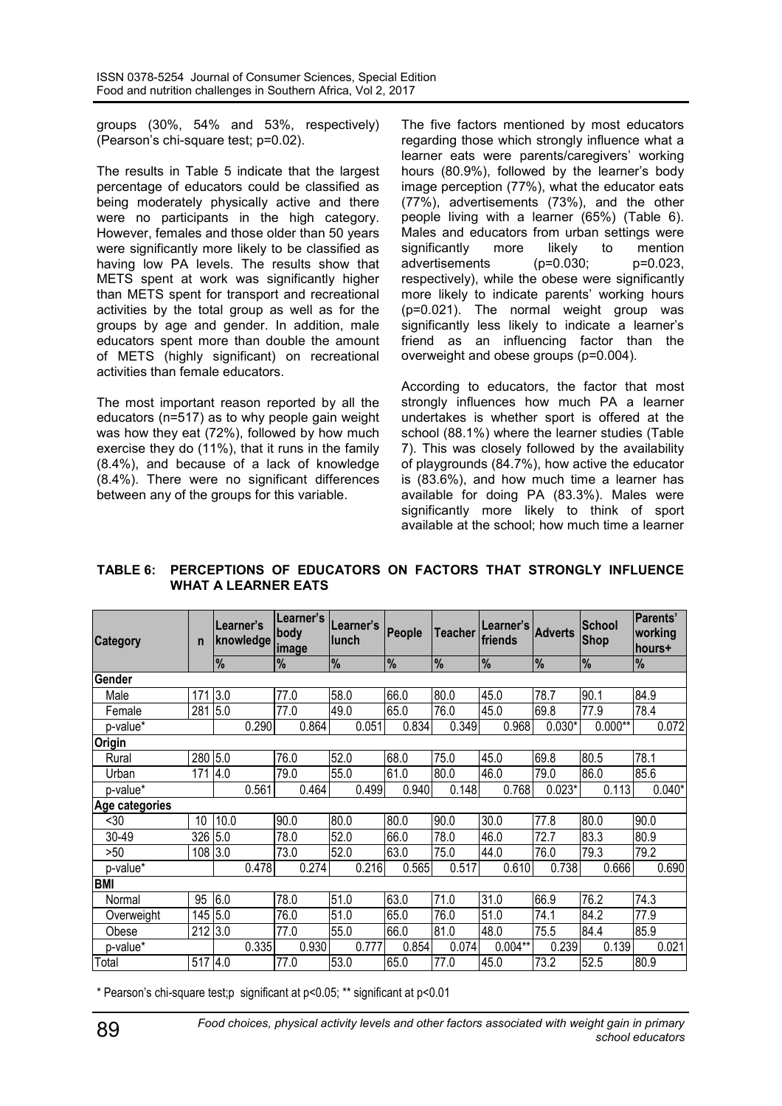groups (30%, 54% and 53%, respectively) (Pearson's chi-square test; p=0.02).

The results in Table 5 indicate that the largest percentage of educators could be classified as being moderately physically active and there were no participants in the high category. However, females and those older than 50 years were significantly more likely to be classified as having low PA levels. The results show that METS spent at work was significantly higher than METS spent for transport and recreational activities by the total group as well as for the groups by age and gender. In addition, male educators spent more than double the amount of METS (highly significant) on recreational activities than female educators.

The most important reason reported by all the educators (n=517) as to why people gain weight was how they eat (72%), followed by how much exercise they do (11%), that it runs in the family (8.4%), and because of a lack of knowledge (8.4%). There were no significant differences between any of the groups for this variable.

The five factors mentioned by most educators regarding those which strongly influence what a learner eats were parents/caregivers' working hours (80.9%), followed by the learner's body image perception (77%), what the educator eats (77%), advertisements (73%), and the other people living with a learner (65%) (Table 6). Males and educators from urban settings were significantly more likely to mention advertisements (p=0.030; p=0.023, respectively), while the obese were significantly more likely to indicate parents' working hours (p=0.021). The normal weight group was significantly less likely to indicate a learner's friend as an influencing factor than the overweight and obese groups (p=0.004).

According to educators, the factor that most strongly influences how much PA a learner undertakes is whether sport is offered at the school (88.1%) where the learner studies (Table 7). This was closely followed by the availability of playgrounds (84.7%), how active the educator is (83.6%), and how much time a learner has available for doing PA (83.3%). Males were significantly more likely to think of sport available at the school; how much time a learner

| TABLE 6: PERCEPTIONS OF EDUCATORS ON FACTORS THAT STRONGLY INFLUENCE |  |  |  |  |
|----------------------------------------------------------------------|--|--|--|--|
| <b>WHAT A LEARNER EATS</b>                                           |  |  |  |  |

| <b>Category</b> | n       | Learner's | knowledge | Learner's<br>body<br>image | llunch | Learner's | People | Teacher | Learner's I<br>friends | <b>Adverts</b> | <b>School</b><br><b>Shop</b> | Parents'<br>working<br>lhours+ |
|-----------------|---------|-----------|-----------|----------------------------|--------|-----------|--------|---------|------------------------|----------------|------------------------------|--------------------------------|
|                 |         | %         |           | %                          | %      |           | %      | %       | %                      | $\frac{9}{6}$  | $\frac{9}{6}$                | %                              |
| Gender          |         |           |           |                            |        |           |        |         |                        |                |                              |                                |
| Male            | 171     | 3.0       |           | 77.0                       | 58.0   |           | 66.0   | 80.0    | 45.0                   | 78.7           | 90.1                         | 84.9                           |
| Female          | 281     | 5.0       |           | 77.0                       | 49.0   |           | 65.0   | 76.0    | 45.0                   | 69.8           | 77.9                         | 78.4                           |
| p-value*        |         |           | 0.290     | 0.864                      |        | 0.051     | 0.834  | 0.349   | 0.968                  | $0.030*$       | $0.000**$                    | 0.072                          |
| Origin          |         |           |           |                            |        |           |        |         |                        |                |                              |                                |
| Rural           | 280 5.0 |           |           | 76.0                       | 52.0   |           | 68.0   | 75.0    | 45.0                   | 69.8           | 80.5                         | 78.1                           |
| Urban           | 171     | 4.0       |           | 79.0                       | 55.0   |           | 61.0   | 80.0    | 46.0                   | 79.0           | 86.0                         | 85.6                           |
| p-value*        |         |           | 0.561     | 0.464                      |        | 0.499     | 0.940  | 0.148   | 0.768                  | $0.023*$       | 0.113                        | $0.040*$                       |
| Age categories  |         |           |           |                            |        |           |        |         |                        |                |                              |                                |
| $30$            | 10      | 10.0      |           | 90.0                       | 80.0   |           | 80.0   | 90.0    | 30.0                   | 77.8           | 80.0                         | 90.0                           |
| 30-49           | 326     | 5.0       |           | 78.0                       | 52.0   |           | 66.0   | 78.0    | 46.0                   | 72.7           | 83.3                         | 80.9                           |
| >50             | 108 3.0 |           |           | 73.0                       | 52.0   |           | 63.0   | 75.0    | 44.0                   | 76.0           | 79.3                         | 79.2                           |
| p-value*        |         |           | 0.478     | 0.274                      |        | 0.216     | 0.565  | 0.517   | 0.610                  | 0.738          | 0.666                        | 0.690                          |
| <b>BMI</b>      |         |           |           |                            |        |           |        |         |                        |                |                              |                                |
| Normal          | 95      | 6.0       |           | 78.0                       | 51.0   |           | 63.0   | 71.0    | 31.0                   | 66.9           | 76.2                         | 74.3                           |
| Overweight      | 145     | 5.0       |           | 76.0                       | 51.0   |           | 65.0   | 76.0    | 51.0                   | 74.1           | 84.2                         | 77.9                           |
| Obese           | 212     | 3.0       |           | 77.0                       | 55.0   |           | 66.0   | 81.0    | 48.0                   | 75.5           | 84.4                         | 85.9                           |
| p-value*        |         |           | 0.335     | 0.930                      |        | 0.777     | 0.854  | 0.074   | $0.004**$              | 0.239          | 0.139                        | 0.021                          |
| Total           | 517     | 4.0       |           | 77.0                       | 53.0   |           | 65.0   | 77.0    | 45.0                   | 73.2           | 52.5                         | 80.9                           |

\* Pearson's chi-square test;p significant at p<0.05; \*\* significant at p<0.01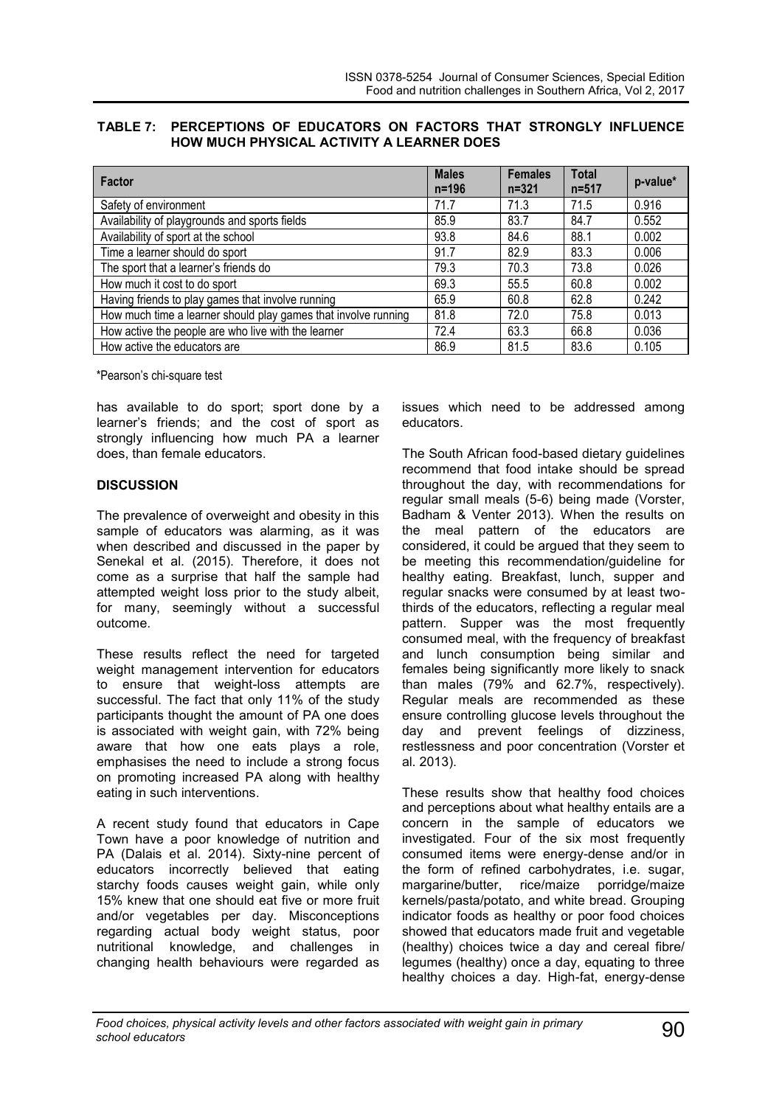| TABLE 7: PERCEPTIONS OF EDUCATORS ON FACTORS THAT STRONGLY INFLUENCE |  |  |
|----------------------------------------------------------------------|--|--|
| <b>HOW MUCH PHYSICAL ACTIVITY A LEARNER DOES</b>                     |  |  |

| <b>Factor</b>                                                  | <b>Males</b><br>$n = 196$ | <b>Females</b><br>$n = 321$ | <b>Total</b><br>$n = 517$ | p-value* |
|----------------------------------------------------------------|---------------------------|-----------------------------|---------------------------|----------|
| Safety of environment                                          | 71.7                      | 71.3                        | 71.5                      | 0.916    |
| Availability of playgrounds and sports fields                  | 85.9                      | 83.7                        | 84.7                      | 0.552    |
| Availability of sport at the school                            | 93.8                      | 84.6                        | 88.1                      | 0.002    |
| Time a learner should do sport                                 | 91.7                      | 82.9                        | 83.3                      | 0.006    |
| The sport that a learner's friends do                          | 79.3                      | 70.3                        | 73.8                      | 0.026    |
| How much it cost to do sport                                   | 69.3                      | 55.5                        | 60.8                      | 0.002    |
| Having friends to play games that involve running              | 65.9                      | 60.8                        | 62.8                      | 0.242    |
| How much time a learner should play games that involve running | 81.8                      | 72.0                        | 75.8                      | 0.013    |
| How active the people are who live with the learner            | 72.4                      | 63.3                        | 66.8                      | 0.036    |
| How active the educators are                                   | 86.9                      | 81.5                        | 83.6                      | 0.105    |

\*Pearson's chi-square test

has available to do sport; sport done by a learner's friends; and the cost of sport as strongly influencing how much PA a learner does, than female educators.

### **DISCUSSION**

The prevalence of overweight and obesity in this sample of educators was alarming, as it was when described and discussed in the paper by Senekal et al. (2015). Therefore, it does not come as a surprise that half the sample had attempted weight loss prior to the study albeit, for many, seemingly without a successful outcome.

These results reflect the need for targeted weight management intervention for educators to ensure that weight-loss attempts are successful. The fact that only 11% of the study participants thought the amount of PA one does is associated with weight gain, with 72% being aware that how one eats plays a role, emphasises the need to include a strong focus on promoting increased PA along with healthy eating in such interventions.

A recent study found that educators in Cape Town have a poor knowledge of nutrition and PA (Dalais et al. 2014). Sixty-nine percent of educators incorrectly believed that eating starchy foods causes weight gain, while only 15% knew that one should eat five or more fruit and/or vegetables per day. Misconceptions regarding actual body weight status, poor nutritional knowledge, and challenges in changing health behaviours were regarded as

issues which need to be addressed among educators.

The South African food-based dietary guidelines recommend that food intake should be spread throughout the day, with recommendations for regular small meals (5-6) being made (Vorster, Badham & Venter 2013). When the results on the meal pattern of the educators are considered, it could be argued that they seem to be meeting this recommendation/guideline for healthy eating. Breakfast, lunch, supper and regular snacks were consumed by at least twothirds of the educators, reflecting a regular meal pattern. Supper was the most frequently consumed meal, with the frequency of breakfast and lunch consumption being similar and females being significantly more likely to snack than males (79% and 62.7%, respectively). Regular meals are recommended as these ensure controlling glucose levels throughout the day and prevent feelings of dizziness, restlessness and poor concentration (Vorster et al. 2013).

These results show that healthy food choices and perceptions about what healthy entails are a concern in the sample of educators we investigated. Four of the six most frequently consumed items were energy-dense and/or in the form of refined carbohydrates, i.e. sugar, margarine/butter, rice/maize porridge/maize kernels/pasta/potato, and white bread. Grouping indicator foods as healthy or poor food choices showed that educators made fruit and vegetable (healthy) choices twice a day and cereal fibre/ legumes (healthy) once a day, equating to three healthy choices a day. High-fat, energy-dense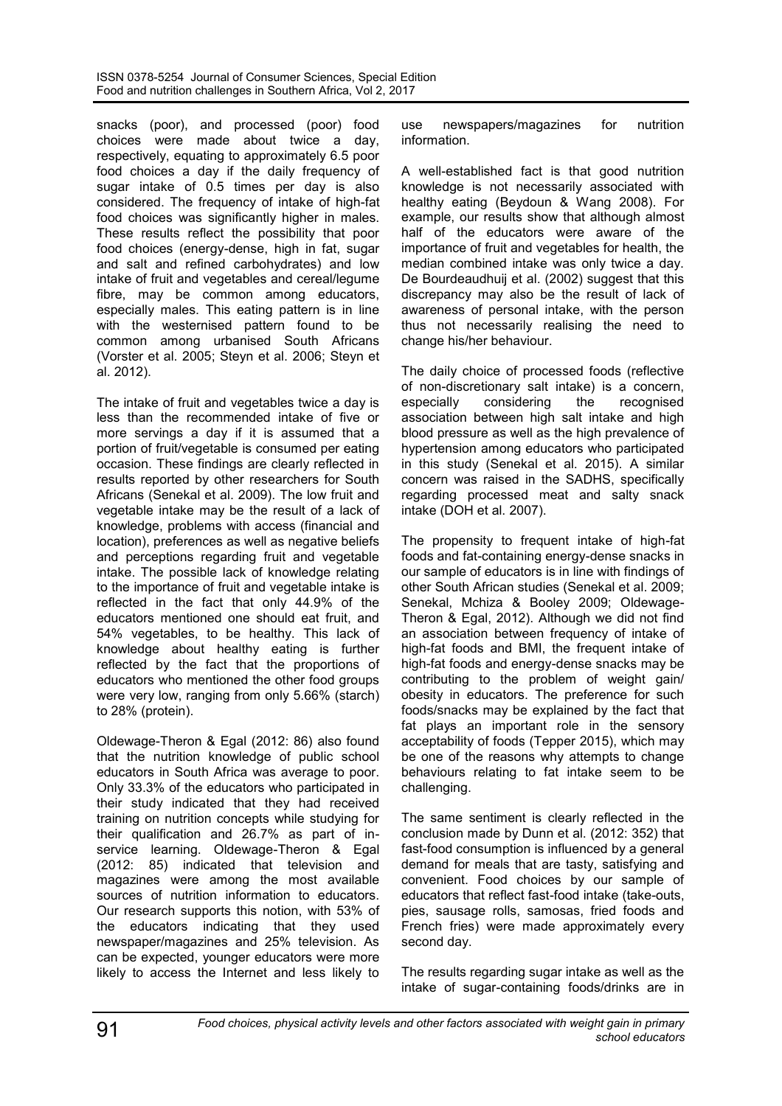snacks (poor), and processed (poor) food choices were made about twice a day, respectively, equating to approximately 6.5 poor food choices a day if the daily frequency of sugar intake of 0.5 times per day is also considered. The frequency of intake of high-fat food choices was significantly higher in males. These results reflect the possibility that poor food choices (energy-dense, high in fat, sugar and salt and refined carbohydrates) and low intake of fruit and vegetables and cereal/legume fibre, may be common among educators, especially males. This eating pattern is in line with the westernised pattern found to be common among urbanised South Africans (Vorster et al. 2005; Steyn et al. 2006; Steyn et al. 2012).

The intake of fruit and vegetables twice a day is less than the recommended intake of five or more servings a day if it is assumed that a portion of fruit/vegetable is consumed per eating occasion. These findings are clearly reflected in results reported by other researchers for South Africans (Senekal et al. 2009). The low fruit and vegetable intake may be the result of a lack of knowledge, problems with access (financial and location), preferences as well as negative beliefs and perceptions regarding fruit and vegetable intake. The possible lack of knowledge relating to the importance of fruit and vegetable intake is reflected in the fact that only 44.9% of the educators mentioned one should eat fruit, and 54% vegetables, to be healthy. This lack of knowledge about healthy eating is further reflected by the fact that the proportions of educators who mentioned the other food groups were very low, ranging from only 5.66% (starch) to 28% (protein).

Oldewage-Theron & Egal (2012: 86) also found that the nutrition knowledge of public school educators in South Africa was average to poor. Only 33.3% of the educators who participated in their study indicated that they had received training on nutrition concepts while studying for their qualification and 26.7% as part of inservice learning. Oldewage-Theron & Egal (2012: 85) indicated that television and magazines were among the most available sources of nutrition information to educators. Our research supports this notion, with 53% of the educators indicating that they used newspaper/magazines and 25% television. As can be expected, younger educators were more likely to access the Internet and less likely to

use newspapers/magazines for nutrition information.

A well-established fact is that good nutrition knowledge is not necessarily associated with healthy eating (Beydoun & Wang 2008). For example, our results show that although almost half of the educators were aware of the importance of fruit and vegetables for health, the median combined intake was only twice a day. De Bourdeaudhuij et al. (2002) suggest that this discrepancy may also be the result of lack of awareness of personal intake, with the person thus not necessarily realising the need to change his/her behaviour.

The daily choice of processed foods (reflective of non-discretionary salt intake) is a concern, especially considering the recognised association between high salt intake and high blood pressure as well as the high prevalence of hypertension among educators who participated in this study (Senekal et al. 2015). A similar concern was raised in the SADHS, specifically regarding processed meat and salty snack intake (DOH et al. 2007).

The propensity to frequent intake of high-fat foods and fat-containing energy-dense snacks in our sample of educators is in line with findings of other South African studies (Senekal et al. 2009; Senekal, Mchiza & Booley 2009; Oldewage-Theron & Egal, 2012). Although we did not find an association between frequency of intake of high-fat foods and BMI, the frequent intake of high-fat foods and energy-dense snacks may be contributing to the problem of weight gain/ obesity in educators. The preference for such foods/snacks may be explained by the fact that fat plays an important role in the sensory acceptability of foods (Tepper 2015), which may be one of the reasons why attempts to change behaviours relating to fat intake seem to be challenging.

The same sentiment is clearly reflected in the conclusion made by Dunn et al. (2012: 352) that fast-food consumption is influenced by a general demand for meals that are tasty, satisfying and convenient. Food choices by our sample of educators that reflect fast-food intake (take-outs, pies, sausage rolls, samosas, fried foods and French fries) were made approximately every second day.

The results regarding sugar intake as well as the intake of sugar-containing foods/drinks are in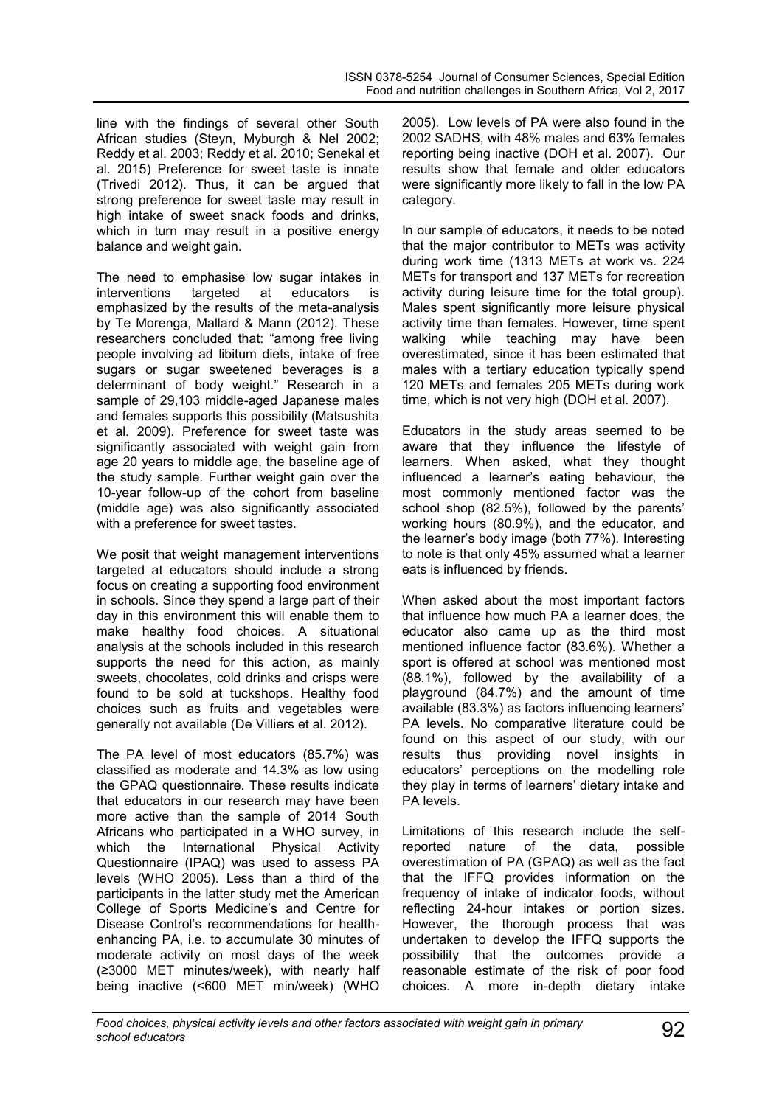line with the findings of several other South African studies (Steyn, Myburgh & Nel 2002; Reddy et al. 2003; Reddy et al. 2010; Senekal et al. 2015) Preference for sweet taste is innate (Trivedi 2012). Thus, it can be argued that strong preference for sweet taste may result in high intake of sweet snack foods and drinks, which in turn may result in a positive energy balance and weight gain.

The need to emphasise low sugar intakes in interventions targeted at educators is emphasized by the results of the meta-analysis by Te Morenga, Mallard & Mann (2012). These researchers concluded that: "among free living people involving ad libitum diets, intake of free sugars or sugar sweetened beverages is a determinant of body weight." Research in a sample of 29,103 middle-aged Japanese males and females supports this possibility (Matsushita et al. 2009). Preference for sweet taste was significantly associated with weight gain from age 20 years to middle age, the baseline age of the study sample. Further weight gain over the 10-year follow-up of the cohort from baseline (middle age) was also significantly associated with a preference for sweet tastes.

We posit that weight management interventions targeted at educators should include a strong focus on creating a supporting food environment in schools. Since they spend a large part of their day in this environment this will enable them to make healthy food choices. A situational analysis at the schools included in this research supports the need for this action, as mainly sweets, chocolates, cold drinks and crisps were found to be sold at tuckshops. Healthy food choices such as fruits and vegetables were generally not available (De Villiers et al. 2012).

The PA level of most educators (85.7%) was classified as moderate and 14.3% as low using the GPAQ questionnaire. These results indicate that educators in our research may have been more active than the sample of 2014 South Africans who participated in a WHO survey, in which the International Physical Activity Questionnaire (IPAQ) was used to assess PA levels (WHO 2005). Less than a third of the participants in the latter study met the American College of Sports Medicine's and Centre for Disease Control's recommendations for healthenhancing PA, i.e. to accumulate 30 minutes of moderate activity on most days of the week (≥3000 MET minutes/week), with nearly half being inactive (<600 MET min/week) (WHO

2005). Low levels of PA were also found in the 2002 SADHS, with 48% males and 63% females reporting being inactive (DOH et al. 2007). Our results show that female and older educators were significantly more likely to fall in the low PA category.

In our sample of educators, it needs to be noted that the major contributor to METs was activity during work time (1313 METs at work vs. 224 METs for transport and 137 METs for recreation activity during leisure time for the total group). Males spent significantly more leisure physical activity time than females. However, time spent walking while teaching may have been overestimated, since it has been estimated that males with a tertiary education typically spend 120 METs and females 205 METs during work time, which is not very high (DOH et al. 2007).

Educators in the study areas seemed to be aware that they influence the lifestyle of learners. When asked, what they thought influenced a learner's eating behaviour, the most commonly mentioned factor was the school shop (82.5%), followed by the parents' working hours (80.9%), and the educator, and the learner's body image (both 77%). Interesting to note is that only 45% assumed what a learner eats is influenced by friends.

When asked about the most important factors that influence how much PA a learner does, the educator also came up as the third most mentioned influence factor (83.6%). Whether a sport is offered at school was mentioned most (88.1%), followed by the availability of a playground (84.7%) and the amount of time available (83.3%) as factors influencing learners' PA levels. No comparative literature could be found on this aspect of our study, with our results thus providing novel insights in educators' perceptions on the modelling role they play in terms of learners' dietary intake and PA levels.

Limitations of this research include the selfreported nature of the data, possible overestimation of PA (GPAQ) as well as the fact that the IFFQ provides information on the frequency of intake of indicator foods, without reflecting 24-hour intakes or portion sizes. However, the thorough process that was undertaken to develop the IFFQ supports the possibility that the outcomes provide a reasonable estimate of the risk of poor food choices. A more in-depth dietary intake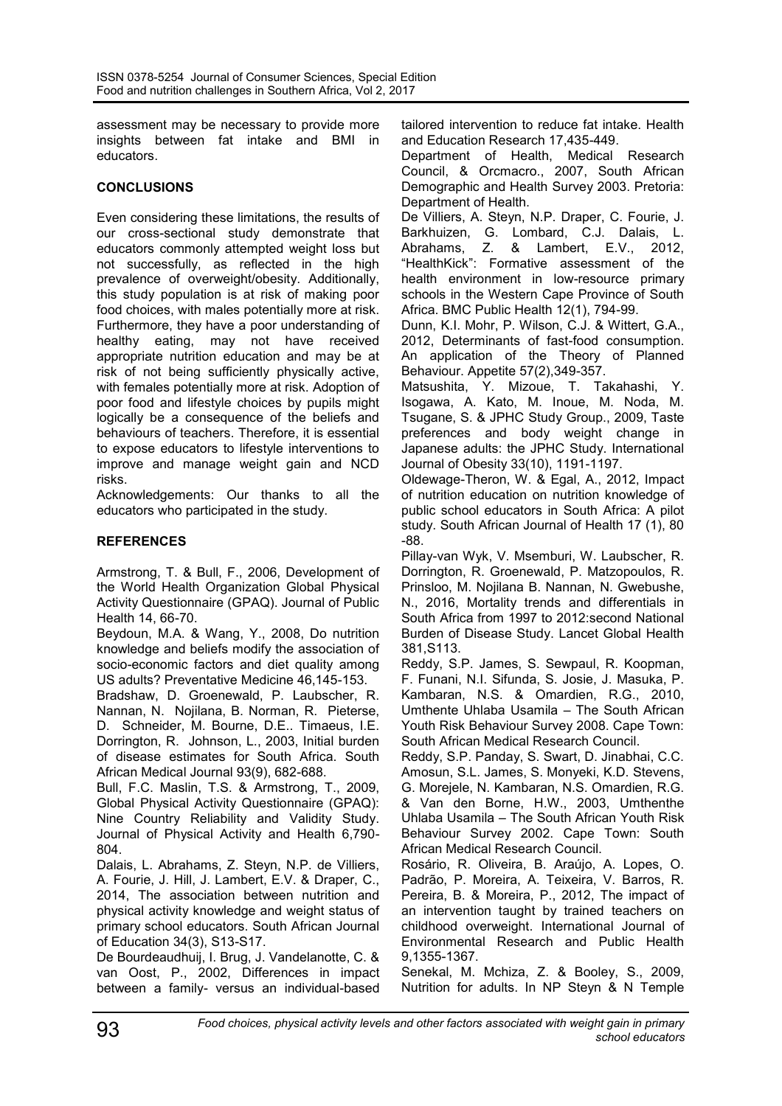assessment may be necessary to provide more insights between fat intake and BMI in educators.

# **CONCLUSIONS**

Even considering these limitations, the results of our cross-sectional study demonstrate that educators commonly attempted weight loss but not successfully, as reflected in the high prevalence of overweight/obesity. Additionally, this study population is at risk of making poor food choices, with males potentially more at risk. Furthermore, they have a poor understanding of healthy eating, may not have received appropriate nutrition education and may be at risk of not being sufficiently physically active, with females potentially more at risk. Adoption of poor food and lifestyle choices by pupils might logically be a consequence of the beliefs and behaviours of teachers. Therefore, it is essential to expose educators to lifestyle interventions to improve and manage weight gain and NCD risks.

Acknowledgements: Our thanks to all the educators who participated in the study.

# **REFERENCES**

Armstrong, T. & Bull, F., 2006, Development of the World Health Organization Global Physical Activity Questionnaire (GPAQ). Journal of Public Health 14, 66-70.

Beydoun, M.A. & Wang, Y., 2008, Do nutrition knowledge and beliefs modify the association of socio-economic factors and diet quality among US adults? Preventative Medicine 46,145-153.

Bradshaw, D. Groenewald, P. Laubscher, R. Nannan, N. Nojilana, B. Norman, R. Pieterse, D. Schneider, M. Bourne, D.E.. Timaeus, I.E. Dorrington, R. Johnson, L., 2003, Initial burden of disease estimates for South Africa. South African Medical Journal 93(9), 682-688.

Bull, F.C. Maslin, T.S. & Armstrong, T., 2009, Global Physical Activity Questionnaire (GPAQ): Nine Country Reliability and Validity Study. Journal of Physical Activity and Health 6,790- 804.

Dalais, L. Abrahams, Z. Steyn, N.P. de Villiers, A. Fourie, J. Hill, J. Lambert, E.V. & Draper, C., 2014, The association between nutrition and physical activity knowledge and weight status of primary school educators. South African Journal of Education 34(3), S13-S17.

De Bourdeaudhuij, I. Brug, J. Vandelanotte, C. & van Oost, P., 2002, Differences in impact between a family- versus an individual-based

tailored intervention to reduce fat intake. Health and Education Research 17,435-449.

Department of Health, Medical Research Council, & Orcmacro., 2007, South African Demographic and Health Survey 2003. Pretoria: Department of Health.

De Villiers, A. Steyn, N.P. Draper, C. Fourie, J. Barkhuizen, G. Lombard, C.J. Dalais, L. Abrahams, Z. & Lambert, E.V., 2012, "HealthKick": Formative assessment of the health environment in low-resource primary schools in the Western Cape Province of South Africa. BMC Public Health 12(1), 794-99.

Dunn, K.I. Mohr, P. Wilson, C.J. & Wittert, G.A., 2012, Determinants of fast-food consumption. An application of the Theory of Planned Behaviour. Appetite 57(2),349-357.

Matsushita, Y. Mizoue, T. Takahashi, Y. Isogawa, A. Kato, M. Inoue, M. Noda, M. Tsugane, S. & JPHC Study Group., 2009, Taste preferences and body weight change in Japanese adults: the JPHC Study. International Journal of Obesity 33(10), 1191-1197.

Oldewage-Theron, W. & Egal, A., 2012, Impact of nutrition education on nutrition knowledge of public school educators in South Africa: A pilot study. South African Journal of Health 17 (1), 80 -88.

Pillay-van Wyk, V. Msemburi, W. Laubscher, R. Dorrington, R. Groenewald, P. Matzopoulos, R. Prinsloo, M. Nojilana B. Nannan, N. Gwebushe, N., 2016, Mortality trends and differentials in South Africa from 1997 to 2012:second National Burden of Disease Study. Lancet Global Health 381,S113.

Reddy, S.P. James, S. Sewpaul, R. Koopman, F. Funani, N.I. Sifunda, S. Josie, J. Masuka, P. Kambaran, N.S. & Omardien, R.G., 2010, Umthente Uhlaba Usamila – The South African Youth Risk Behaviour Survey 2008. Cape Town: South African Medical Research Council.

Reddy, S.P. Panday, S. Swart, D. Jinabhai, C.C. Amosun, S.L. James, S. Monyeki, K.D. Stevens, G. Morejele, N. Kambaran, N.S. Omardien, R.G. & Van den Borne, H.W., 2003, Umthenthe Uhlaba Usamila – The South African Youth Risk Behaviour Survey 2002. Cape Town: South African Medical Research Council.

Rosário, R. Oliveira, B. Araújo, A. Lopes, O. Padrão, P. Moreira, A. Teixeira, V. Barros, R. Pereira, B. & Moreira, P., 2012, The impact of an intervention taught by trained teachers on childhood overweight. International Journal of Environmental Research and Public Health 9,1355-1367.

Senekal, M. Mchiza, Z. & Booley, S., 2009, Nutrition for adults. In NP Steyn & N Temple